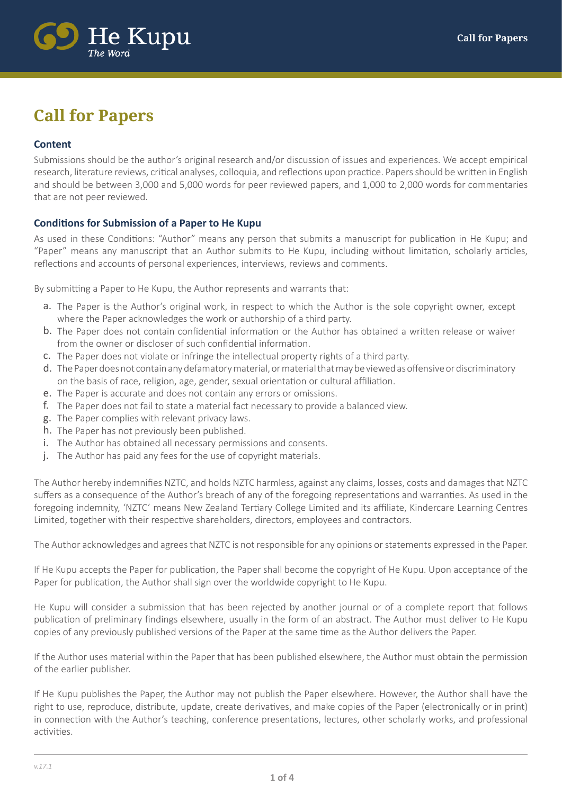

# **Call for Papers**

## **Content**

Submissions should be the author's original research and/or discussion of issues and experiences. We accept empirical research, literature reviews, critical analyses, colloquia, and reflections upon practice. Papers should be written in English and should be between 3,000 and 5,000 words for peer reviewed papers, and 1,000 to 2,000 words for commentaries that are not peer reviewed.

## **Conditions for Submission of a Paper to He Kupu**

As used in these Conditions: "Author" means any person that submits a manuscript for publication in He Kupu; and "Paper" means any manuscript that an Author submits to He Kupu, including without limitation, scholarly articles, reflections and accounts of personal experiences, interviews, reviews and comments.

By submitting a Paper to He Kupu, the Author represents and warrants that:

- a. The Paper is the Author's original work, in respect to which the Author is the sole copyright owner, except where the Paper acknowledges the work or authorship of a third party.
- b. The Paper does not contain confidential information or the Author has obtained a written release or waiver from the owner or discloser of such confidential information.
- c. The Paper does not violate or infringe the intellectual property rights of a third party.
- d. The Paper does not contain any defamatory material, or material that may be viewed as offensive or discriminatory on the basis of race, religion, age, gender, sexual orientation or cultural affiliation.
- e. The Paper is accurate and does not contain any errors or omissions.
- The Paper does not fail to state a material fact necessary to provide a balanced view. f.
- g. The Paper complies with relevant privacy laws.
- h. The Paper has not previously been published.
- i. The Author has obtained all necessary permissions and consents.
- j. The Author has paid any fees for the use of copyright materials.

The Author hereby indemnifies NZTC, and holds NZTC harmless, against any claims, losses, costs and damages that NZTC suffers as a consequence of the Author's breach of any of the foregoing representations and warranties. As used in the foregoing indemnity, 'NZTC' means New Zealand Tertiary College Limited and its affiliate, Kindercare Learning Centres Limited, together with their respective shareholders, directors, employees and contractors.

The Author acknowledges and agrees that NZTC is not responsible for any opinions or statements expressed in the Paper.

If He Kupu accepts the Paper for publication, the Paper shall become the copyright of He Kupu. Upon acceptance of the Paper for publication, the Author shall sign over the worldwide copyright to He Kupu.

He Kupu will consider a submission that has been rejected by another journal or of a complete report that follows publication of preliminary findings elsewhere, usually in the form of an abstract. The Author must deliver to He Kupu copies of any previously published versions of the Paper at the same time as the Author delivers the Paper.

If the Author uses material within the Paper that has been published elsewhere, the Author must obtain the permission of the earlier publisher.

If He Kupu publishes the Paper, the Author may not publish the Paper elsewhere. However, the Author shall have the right to use, reproduce, distribute, update, create derivatives, and make copies of the Paper (electronically or in print) in connection with the Author's teaching, conference presentations, lectures, other scholarly works, and professional activities.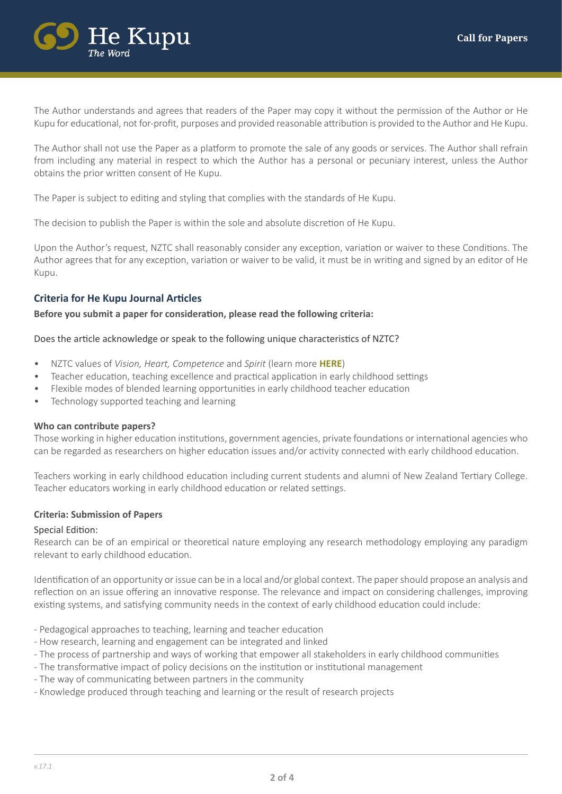

The Author understands and agrees that readers of the Paper may copy it without the permission of the Author or He Kupu for educational, not for-profit, purposes and provided reasonable attribution is provided to the Author and He Kupu.

The Author shall not use the Paper as a platform to promote the sale of any goods or services. The Author shall refrain from including any material in respect to which the Author has a personal or pecuniary interest, unless the Author obtains the prior written consent of He Kupu.

The Paper is subject to editing and styling that complies with the standards of He Kupu.

The decision to publish the Paper is within the sole and absolute discretion of He Kupu.

Upon the Author's request, NZTC shall reasonably consider any exception, variation or waiver to these Conditions. The Author agrees that for any exception, variation or waiver to be valid, it must be in writing and signed by an editor of He Kupu.

## **Criteria for He Kupu Journal Articles**

**Before you submit a paper for consideration, please read the following criteria:**

#### Does the article acknowledge or speak to the following unique characteristics of NZTC?

- NZTC values of *Vision, Heart, Competence* and *Spirit* [\(learn more](http://www.nztertiarycollege.ac.nz/about-us/mission-statement-and-values) **HERE**)
- Teacher education, teaching excellence and practical application in early childhood settings
- Flexible modes of blended learning opportunities in early childhood teacher education
- Technology supported teaching and learning

#### **Who can contribute papers?**

Those working in higher education institutions, government agencies, private foundations or international agencies who can be regarded as researchers on higher education issues and/or activity connected with early childhood education.

Teachers working in early childhood education including current students and alumni of New Zealand Tertiary College. Teacher educators working in early childhood education or related settings.

## **Criteria: Submission of Papers**

#### Special Edition:

Research can be of an empirical or theoretical nature employing any research methodology employing any paradigm relevant to early childhood education.

Identification of an opportunity or issue can be in a local and/or global context. The paper should propose an analysis and reflection on an issue offering an innovative response. The relevance and impact on considering challenges, improving existing systems, and satisfying community needs in the context of early childhood education could include:

- Pedagogical approaches to teaching, learning and teacher education
- How research, learning and engagement can be integrated and linked
- The process of partnership and ways of working that empower all stakeholders in early childhood communities
- The transformative impact of policy decisions on the institution or institutional management
- The way of communicating between partners in the community
- Knowledge produced through teaching and learning or the result of research projects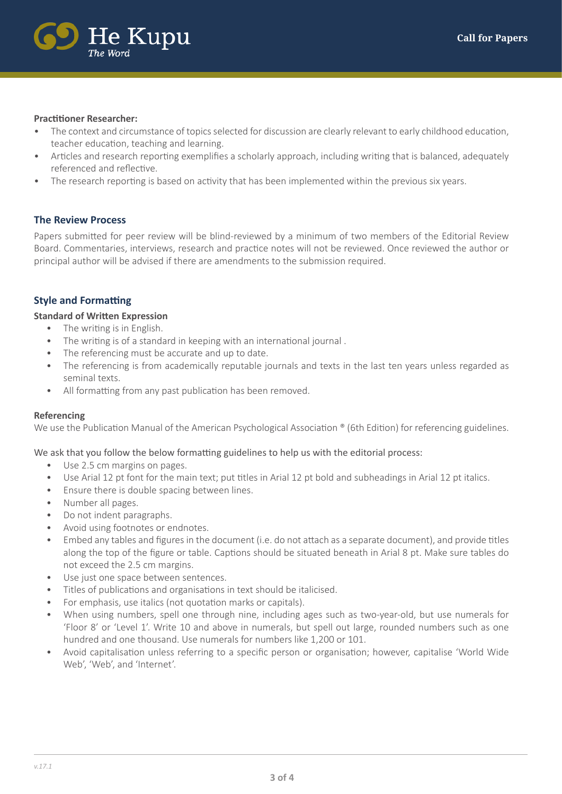

#### **Practitioner Researcher:**

- The context and circumstance of topics selected for discussion are clearly relevant to early childhood education, teacher education, teaching and learning.
- Articles and research reporting exemplifies a scholarly approach, including writing that is balanced, adequately referenced and reflective.
- The research reporting is based on activity that has been implemented within the previous six years.

## **The Review Process**

Papers submitted for peer review will be blind-reviewed by a minimum of two members of the Editorial Review Board. Commentaries, interviews, research and practice notes will not be reviewed. Once reviewed the author or principal author will be advised if there are amendments to the submission required.

## **Style and Formatting**

#### **Standard of Written Expression**

- The writing is in English.
- The writing is of a standard in keeping with an international journal .
- The referencing must be accurate and up to date.
- The referencing is from academically reputable journals and texts in the last ten years unless regarded as seminal texts.
- All formatting from any past publication has been removed.

#### **Referencing**

We use the Publication Manual of the American Psychological Association <sup>®</sup> (6th Edition) for referencing guidelines.

## We ask that you follow the below formatting guidelines to help us with the editorial process:

- Use 2.5 cm margins on pages.
- Use Arial 12 pt font for the main text; put titles in Arial 12 pt bold and subheadings in Arial 12 pt italics.
- Ensure there is double spacing between lines.
- Number all pages.
- Do not indent paragraphs.
- Avoid using footnotes or endnotes.
- Embed any tables and figures in the document (i.e. do not attach as a separate document), and provide titles along the top of the figure or table. Captions should be situated beneath in Arial 8 pt. Make sure tables do not exceed the 2.5 cm margins.
- Use just one space between sentences.
- Titles of publications and organisations in text should be italicised.
- For emphasis, use italics (not quotation marks or capitals).
- When using numbers, spell one through nine, including ages such as two-year-old, but use numerals for 'Floor 8' or 'Level 1'. Write 10 and above in numerals, but spell out large, rounded numbers such as one hundred and one thousand. Use numerals for numbers like 1,200 or 101.
- Avoid capitalisation unless referring to a specific person or organisation; however, capitalise 'World Wide Web', 'Web', and 'Internet'.